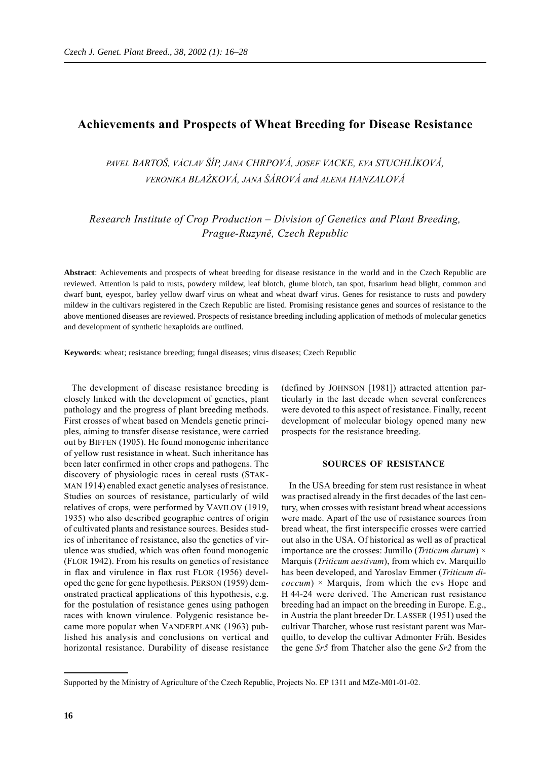# **Achievements and Prospects of Wheat Breeding for Disease Resistance**

*PAVEL BARTOŠ, VÁCLAV ŠÍP, JANA CHRPOVÁ, JOSEF VACKE, EVA STUCHLÍKOVÁ, VERONIKA BLAŽKOVÁ, JANA ŠÁROVÁ and ALENA HANZALOVÁ*

*Research Institute of Crop Production – Division of Genetics and Plant Breeding, Prague-Ruzyně, Czech Republic*

**Abstract**: Achievements and prospects of wheat breeding for disease resistance in the world and in the Czech Republic are reviewed. Attention is paid to rusts, powdery mildew, leaf blotch, glume blotch, tan spot, fusarium head blight, common and dwarf bunt, eyespot, barley yellow dwarf virus on wheat and wheat dwarf virus. Genes for resistance to rusts and powdery mildew in the cultivars registered in the Czech Republic are listed. Promising resistance genes and sources of resistance to the above mentioned diseases are reviewed. Prospects of resistance breeding including application of methods of molecular genetics and development of synthetic hexaploids are outlined.

**Keywords**: wheat; resistance breeding; fungal diseases; virus diseases; Czech Republic

The development of disease resistance breeding is closely linked with the development of genetics, plant pathology and the progress of plant breeding methods. First crosses of wheat based on Mendels genetic principles, aiming to transfer disease resistance, were carried out by BIFFEN (1905). He found monogenic inheritance of yellow rust resistance in wheat. Such inheritance has been later confirmed in other crops and pathogens. The discovery of physiologic races in cereal rusts (STAK-MAN 1914) enabled exact genetic analyses of resistance. Studies on sources of resistance, particularly of wild relatives of crops, were performed by VAVILOV (1919, 1935) who also described geographic centres of origin of cultivated plants and resistance sources. Besides studies of inheritance of resistance, also the genetics of virulence was studied, which was often found monogenic (FLOR 1942). From his results on genetics of resistance in flax and virulence in flax rust FLOR (1956) developed the gene for gene hypothesis. PERSON (1959) demonstrated practical applications of this hypothesis, e.g. for the postulation of resistance genes using pathogen races with known virulence. Polygenic resistance became more popular when VANDERPLANK (1963) published his analysis and conclusions on vertical and horizontal resistance. Durability of disease resistance

(defined by JOHNSON [1981]) attracted attention particularly in the last decade when several conferences were devoted to this aspect of resistance. Finally, recent development of molecular biology opened many new prospects for the resistance breeding.

### **SOURCES OF RESISTANCE**

In the USA breeding for stem rust resistance in wheat was practised already in the first decades of the last century, when crosses with resistant bread wheat accessions were made. Apart of the use of resistance sources from bread wheat, the first interspecific crosses were carried out also in the USA. Of historical as well as of practical importance are the crosses: Jumillo (*Triticum durum*) × Marquis (*Triticum aestivum*), from which cv. Marquillo has been developed, and Yaroslav Emmer (*Triticum di-* $\langle coccum \rangle$  × Marquis, from which the cvs Hope and H 44-24 were derived. The American rust resistance breeding had an impact on the breeding in Europe. E.g., in Austria the plant breeder Dr. LASSER (1951) used the cultivar Thatcher, whose rust resistant parent was Marquillo, to develop the cultivar Admonter Früh. Besides the gene *Sr5* from Thatcher also the gene *Sr2* from the

Supported by the Ministry of Agriculture of the Czech Republic, Projects No. EP 1311 and MZe-M01-01-02.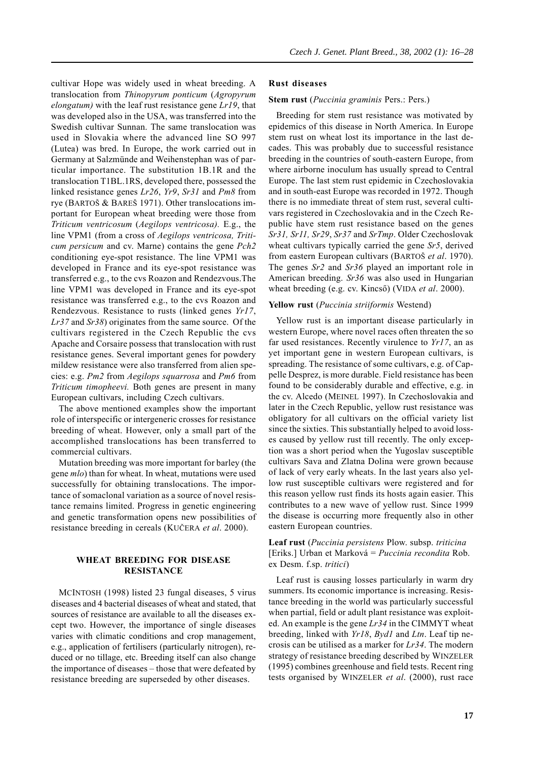cultivar Hope was widely used in wheat breeding. A translocation from *Thinopyrum ponticum* (*Agropyrum elongatum)* with the leaf rust resistance gene *Lr19*, that was developed also in the USA, was transferred into the Swedish cultivar Sunnan. The same translocation was used in Slovakia where the advanced line SO 997 (Lutea) was bred. In Europe, the work carried out in Germany at Salzmünde and Weihenstephan was of particular importance. The substitution 1B.1R and the translocation T1BL.1RS, developed there, possessed the linked resistance genes *Lr26*, *Yr9*, *Sr31* and *Pm8* from rye (BARTOŠ & BAREŠ 1971). Other translocations important for European wheat breeding were those from *Triticum ventricosum* (*Aegilops ventricosa).* E.g., the line VPM1 (from a cross of *Aegilops ventricosa, Triticum persicum* and cv. Marne) contains the gene *Pch2* conditioning eye-spot resistance. The line VPM1 was developed in France and its eye-spot resistance was transferred e.g., to the cvs Roazon and Rendezvous.The line VPM1 was developed in France and its eye-spot resistance was transferred e.g., to the cvs Roazon and Rendezvous. Resistance to rusts (linked genes *Yr17*, *Lr37* and *Sr38*) originates from the same source. Of the cultivars registered in the Czech Republic the cvs Apache and Corsaire possess that translocation with rust resistance genes. Several important genes for powdery mildew resistance were also transferred from alien species: e.g. *Pm2* from *Aegilops squarrosa* and *Pm6* from *Triticum timopheevi.* Both genes are present in many European cultivars, including Czech cultivars.

The above mentioned examples show the important role of interspecific or intergeneric crosses for resistance breeding of wheat. However, only a small part of the accomplished translocations has been transferred to commercial cultivars.

Mutation breeding was more important for barley (the gene *mlo*) than for wheat. In wheat, mutations were used successfully for obtaining translocations. The importance of somaclonal variation as a source of novel resistance remains limited. Progress in genetic engineering and genetic transformation opens new possibilities of resistance breeding in cereals (KUČERA *et al*. 2000).

# **WHEAT BREEDING FOR DISEASE RESISTANCE**

MCINTOSH (1998) listed 23 fungal diseases, 5 virus diseases and 4 bacterial diseases of wheat and stated, that sources of resistance are available to all the diseases except two. However, the importance of single diseases varies with climatic conditions and crop management, e.g., application of fertilisers (particularly nitrogen), reduced or no tillage, etc. Breeding itself can also change the importance of diseases – those that were defeated by resistance breeding are superseded by other diseases.

### **Rust diseases**

#### **Stem rust** (*Puccinia graminis* Pers.: Pers.)

Breeding for stem rust resistance was motivated by epidemics of this disease in North America. In Europe stem rust on wheat lost its importance in the last decades. This was probably due to successful resistance breeding in the countries of south-eastern Europe, from where airborne inoculum has usually spread to Central Europe. The last stem rust epidemic in Czechoslovakia and in south-east Europe was recorded in 1972. Though there is no immediate threat of stem rust, several cultivars registered in Czechoslovakia and in the Czech Republic have stem rust resistance based on the genes *Sr31, Sr11, Sr29*, *Sr37* and *SrTmp*. Older Czechoslovak wheat cultivars typically carried the gene *Sr5*, derived from eastern European cultivars (BARTOŠ *et al*. 1970). The genes *Sr2* and *Sr36* played an important role in American breeding. *Sr36* was also used in Hungarian wheat breeding (e.g. cv. Kincső) (VIDA *et al*. 2000).

### **Yellow rust** (*Puccinia striiformis* Westend)

Yellow rust is an important disease particularly in western Europe, where novel races often threaten the so far used resistances. Recently virulence to *Yr17*, an as yet important gene in western European cultivars, is spreading. The resistance of some cultivars, e.g. of Cappelle Desprez, is more durable. Field resistance has been found to be considerably durable and effective, e.g. in the cv. Alcedo (MEINEL 1997). In Czechoslovakia and later in the Czech Republic, yellow rust resistance was obligatory for all cultivars on the official variety list since the sixties. This substantially helped to avoid losses caused by yellow rust till recently. The only exception was a short period when the Yugoslav susceptible cultivars Sava and Zlatna Dolina were grown because of lack of very early wheats. In the last years also yellow rust susceptible cultivars were registered and for this reason yellow rust finds its hosts again easier. This contributes to a new wave of yellow rust. Since 1999 the disease is occurring more frequently also in other eastern European countries.

### **Leaf rust** (*Puccinia persistens* Plow. subsp. *triticina* [Eriks.] Urban et Marková = *Puccinia recondita* Rob. ex Desm. f.sp. *tritici*)

Leaf rust is causing losses particularly in warm dry summers. Its economic importance is increasing. Resistance breeding in the world was particularly successful when partial, field or adult plant resistance was exploited. An example is the gene *Lr34* in the CIMMYT wheat breeding, linked with *Yr18*, *Byd1* and *Ltn*. Leaf tip necrosis can be utilised as a marker for *Lr34*. The modern strategy of resistance breeding described by WINZELER (1995) combines greenhouse and field tests. Recent ring tests organised by WINZELER *et al*. (2000), rust race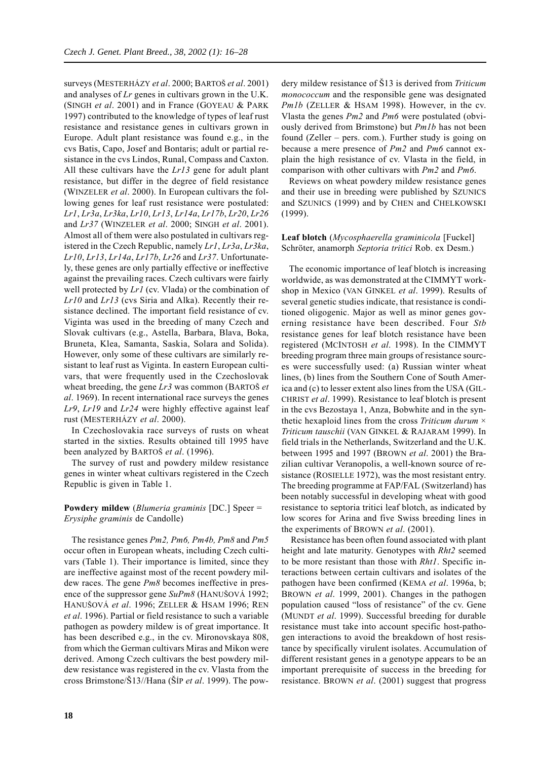surveys (MESTERHÁZY *et al*. 2000; BARTOŠ *et al*. 2001) and analyses of *Lr* genes in cultivars grown in the U.K. (SINGH *et al*. 2001) and in France (GOYEAU & PARK 1997) contributed to the knowledge of types of leaf rust resistance and resistance genes in cultivars grown in Europe. Adult plant resistance was found e.g., in the cvs Batis, Capo, Josef and Bontaris; adult or partial resistance in the cvs Lindos, Runal, Compass and Caxton. All these cultivars have the *Lr13* gene for adult plant resistance, but differ in the degree of field resistance (WINZELER *et al*. 2000). In European cultivars the following genes for leaf rust resistance were postulated: *Lr1*, *Lr3a*, *Lr3ka*, *Lr10*, *Lr13*, *Lr14a*, *Lr17b*, *Lr20*, *Lr26* and *Lr37* (WINZELER *et al*. 2000; SINGH *et al*. 2001). Almost all of them were also postulated in cultivars registered in the Czech Republic, namely *Lr1*, *Lr3a*, *Lr3ka*, *Lr10*, *Lr13*, *Lr14a*, *Lr17b*, *Lr26* and *Lr37*. Unfortunately, these genes are only partially effective or ineffective against the prevailing races. Czech cultivars were fairly well protected by *Lr1* (cv. Vlada) or the combination of *Lr10* and *Lr13* (cvs Siria and Alka). Recently their resistance declined. The important field resistance of cv. Viginta was used in the breeding of many Czech and Slovak cultivars (e.g., Astella, Barbara, Blava, Boka, Bruneta, Klea, Samanta, Saskia, Solara and Solida). However, only some of these cultivars are similarly resistant to leaf rust as Viginta. In eastern European cultivars, that were frequently used in the Czechoslovak wheat breeding, the gene *Lr3* was common (BARTOŠ *et al*. 1969). In recent international race surveys the genes *Lr9*, *Lr19* and *Lr24* were highly effective against leaf rust (MESTERHÁZY *et al*. 2000).

In Czechoslovakia race surveys of rusts on wheat started in the sixties. Results obtained till 1995 have been analyzed by BARTOŠ *et al*. (1996).

The survey of rust and powdery mildew resistance genes in winter wheat cultivars registered in the Czech Republic is given in Table 1.

### **Powdery mildew** (*Blumeria graminis* [DC.] Speer = *Erysiphe graminis* de Candolle)

The resistance genes *Pm2, Pm6, Pm4b, Pm8* and *Pm5* occur often in European wheats, including Czech cultivars (Table 1). Their importance is limited, since they are ineffective against most of the recent powdery mildew races. The gene *Pm8* becomes ineffective in presence of the suppressor gene *SuPm8* (HANUŠOVÁ 1992; HANUŠOVÁ *et al*. 1996; ZELLER & HSAM 1996; REN *et al*. 1996). Partial or field resistance to such a variable pathogen as powdery mildew is of great importance. It has been described e.g., in the cv. Mironovskaya 808, from which the German cultivars Miras and Mikon were derived. Among Czech cultivars the best powdery mildew resistance was registered in the cv. Vlasta from the cross Brimstone/Š13//Hana (ŠÍP *et al*. 1999). The powdery mildew resistance of Š13 is derived from *Triticum monococcum* and the responsible gene was designated *Pm1b* (ZELLER & HSAM 1998). However, in the cv. Vlasta the genes *Pm2* and *Pm6* were postulated (obviously derived from Brimstone) but *Pm1b* has not been found (Zeller – pers. com.). Further study is going on because a mere presence of *Pm2* and *Pm6* cannot explain the high resistance of cv. Vlasta in the field, in comparison with other cultivars with *Pm2* and *Pm6*.

Reviews on wheat powdery mildew resistance genes and their use in breeding were published by SZUNICS and SZUNICS (1999) and by CHEN and CHELKOWSKI (1999).

### **Leaf blotch** (*Mycosphaerella graminicola* [Fuckel] Schröter, anamorph *Septoria tritici* Rob. ex Desm.)

The economic importance of leaf blotch is increasing worldwide, as was demonstrated at the CIMMYT workshop in Mexico (VAN GINKEL *et al*. 1999). Results of several genetic studies indicate, that resistance is conditioned oligogenic. Major as well as minor genes governing resistance have been described. Four *Stb* resistance genes for leaf blotch resistance have been registered (MCINTOSH *et al*. 1998). In the CIMMYT breeding program three main groups of resistance sources were successfully used: (a) Russian winter wheat lines, (b) lines from the Southern Cone of South America and (c) to lesser extent also lines from the USA (GIL-CHRIST *et al*. 1999). Resistance to leaf blotch is present in the cvs Bezostaya 1, Anza, Bobwhite and in the synthetic hexaploid lines from the cross *Triticum durum* × *Triticum tauschii* (VAN GINKEL & RAJARAM 1999). In field trials in the Netherlands, Switzerland and the U.K. between 1995 and 1997 (BROWN *et al*. 2001) the Brazilian cultivar Veranopolis, a well-known source of resistance (ROSIELLE 1972), was the most resistant entry. The breeding programme at FAP/FAL (Switzerland) has been notably successful in developing wheat with good resistance to septoria tritici leaf blotch, as indicated by low scores for Arina and five Swiss breeding lines in the experiments of BROWN *et al*. (2001).

 Resistance has been often found associated with plant height and late maturity. Genotypes with *Rht2* seemed to be more resistant than those with *Rht1*. Specific interactions between certain cultivars and isolates of the pathogen have been confirmed (KEMA *et al*. 1996a, b; BROWN *et al*. 1999, 2001). Changes in the pathogen population caused "loss of resistance" of the cv. Gene (MUNDT *et al*. 1999). Successful breeding for durable resistance must take into account specific host-pathogen interactions to avoid the breakdown of host resistance by specifically virulent isolates. Accumulation of different resistant genes in a genotype appears to be an important prerequisite of success in the breeding for resistance. BROWN *et al*. (2001) suggest that progress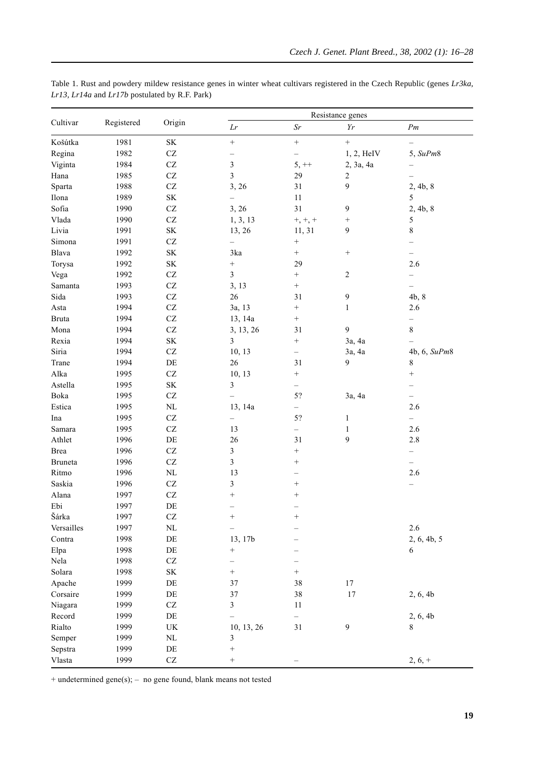|              |            |                                 |                          | Resistance genes         |                         |                          |  |
|--------------|------------|---------------------------------|--------------------------|--------------------------|-------------------------|--------------------------|--|
| Cultivar     | Registered | Origin                          | Lr                       | $\mathcal{S}r$           | $\gamma_r$              | Pm                       |  |
| Košútka      | 1981       | $\rm SK$                        | $\boldsymbol{+}$         | $\qquad \qquad +$        | $\qquad \qquad +$       | -                        |  |
| Regina       | 1982       | $\operatorname{CZ}$             | -                        | $\qquad \qquad -$        | 1, 2, HeIV              | 5, SuPm8                 |  |
| Viginta      | 1984       | $\operatorname{CZ}$             | 3                        | $5, ++$                  | 2, 3a, 4a               |                          |  |
| Hana         | 1985       | $\operatorname{CZ}$             | $\overline{\mathbf{3}}$  | 29                       | $\overline{\mathbf{c}}$ |                          |  |
| Sparta       | 1988       | $\operatorname{CZ}$             | 3, 26                    | $31\,$                   | 9                       | 2, 4b, 8                 |  |
| Ilona        | 1989       | $\rm SK$                        |                          | $11\,$                   |                         | 5                        |  |
| Sofia        | 1990       | $\operatorname{CZ}$             | 3, 26                    | 31                       | 9                       | 2, 4b, 8                 |  |
| Vlada        | 1990       | $\operatorname{CZ}$             | 1, 3, 13                 | $+, +, +$                |                         | 5                        |  |
| Livia        | 1991       | $\rm SK$                        | 13, 26                   | 11, 31                   | 9                       | $\,$ $\,$                |  |
| Simona       | 1991       | $\operatorname{CZ}$             |                          | $\qquad \qquad +$        |                         |                          |  |
| Blava        | 1992       | $\rm SK$                        | 3ka                      | $^+$                     |                         | -                        |  |
| Torysa       | 1992       | $\rm SK$                        | $\qquad \qquad +$        | 29                       |                         | 2.6                      |  |
| Vega         | 1992       | $\operatorname{CZ}$             | $\overline{\mathbf{3}}$  | $\! + \!\!\!\!$          | 2                       |                          |  |
| Samanta      | 1993       | $\operatorname{CZ}$             | 3, 13                    | $^+$                     |                         | $\overline{\phantom{0}}$ |  |
| Sida         | 1993       | $\operatorname{CZ}$             | 26                       | 31                       | 9                       | 4b, 8                    |  |
| Asta         | 1994       | $\operatorname{CZ}$             | 3a, 13                   | $\qquad \qquad +$        | $\mathbf{1}$            | 2.6                      |  |
| <b>Bruta</b> | 1994       | $\operatorname{CZ}$             | 13, 14a                  |                          |                         | —                        |  |
| Mona         | 1994       | $\operatorname{CZ}$             | 3, 13, 26                | 31                       | 9                       | $\,8\,$                  |  |
| Rexia        | 1994       | $\rm SK$                        | 3                        | $\qquad \qquad +$        | 3a, 4a                  |                          |  |
| Siria        | 1994       | $\operatorname{CZ}$             | 10, 13                   | $\overline{\phantom{0}}$ | 3a, 4a                  | 4b, 6, SuPm8             |  |
| Trane        | 1994       | $\rm DE$                        | 26                       | 31                       | 9                       | $\,$ $\,$                |  |
| Alka         | 1995       | $\operatorname{CZ}$             | 10, 13                   | $^+$                     |                         |                          |  |
| Astella      | 1995       | $\rm SK$                        | $\overline{\mathbf{3}}$  | $\overline{\phantom{0}}$ |                         |                          |  |
| Boka         | 1995       | $\operatorname{CZ}$             | $\overline{\phantom{0}}$ | 5?                       | 3a, 4a                  |                          |  |
| Estica       | 1995       | $\rm NL$                        | 13, 14a                  | $\overline{\phantom{0}}$ |                         | 2.6                      |  |
| Ina          | 1995       | $\operatorname{CZ}$             | $\overline{\phantom{0}}$ | 5?                       | $\mathbf{1}$            | $-$                      |  |
| Samara       | 1995       | $\operatorname{CZ}$             | 13                       | $\overline{\phantom{0}}$ | $\mathbf{1}$            | 2.6                      |  |
| Athlet       | 1996       | $\rm{DE}$                       | 26                       | 31                       | 9                       | $2.8\,$                  |  |
| Brea         | 1996       | $\operatorname{CZ}$             | 3                        |                          |                         |                          |  |
| Bruneta      | 1996       | $\operatorname{CZ}$             | $\overline{\mathbf{3}}$  | $+$                      |                         |                          |  |
| Ritmo        | 1996       | $\rm NL$                        | 13                       | -                        |                         | 2.6                      |  |
| Saskia       | 1996       | $\operatorname{CZ}$             | 3                        | $^+$                     |                         |                          |  |
| Alana        | 1997       | $\operatorname{CZ}$             | $^{+}$                   |                          |                         |                          |  |
| Ebi          | 1997       | $\rm DE$                        |                          | $\overline{\phantom{0}}$ |                         |                          |  |
| Šárka        | 1997       | CZ                              | $^{+}$                   | $^{+}$                   |                         |                          |  |
| Versailles   | 1997       | $\rm NL$                        |                          |                          |                         | $2.6\,$                  |  |
| Contra       | 1998       | $\rm DE$                        | 13, 17b                  |                          |                         | 2, 6, 4b, 5              |  |
| Elpa         | 1998       | $\rm DE$                        | $^{+}$                   |                          |                         | 6                        |  |
| Nela         | 1998       | $\operatorname{CZ}$             | -                        |                          |                         |                          |  |
| Solara       | 1998       | $\rm SK$                        | $^+$                     | $\! + \!\!\!\!$          |                         |                          |  |
| Apache       | 1999       | $\rm DE$                        | 37                       | 38                       | 17                      |                          |  |
| Corsaire     | 1999       | $\rm{DE}$                       | 37                       | 38                       | $17\,$                  | 2, 6, 4b                 |  |
| Niagara      | 1999       | $\operatorname{CZ}$             | 3                        | 11                       |                         |                          |  |
| Record       | 1999       | $\rm DE$                        |                          | -                        |                         | 2, 6, 4b                 |  |
| Rialto       | 1999       | $\ensuremath{\text{UK}}\xspace$ | 10, 13, 26               | $31\,$                   | 9                       | 8                        |  |
| Semper       | 1999       | $\rm NL$                        | 3                        |                          |                         |                          |  |
| Sepstra      | 1999       | $\rm DE$                        | $^{+}$                   |                          |                         |                          |  |
| Vlasta       | 1999       | $\operatorname{CZ}$             | $^{+}$                   | $\overline{\phantom{0}}$ |                         | $2, 6, +$                |  |

Table 1. Rust and powdery mildew resistance genes in winter wheat cultivars registered in the Czech Republic (genes Lr3ka, Lr13, Lr14a and Lr17b postulated by R.F. Park)

+ undetermined gene(s); - no gene found, blank means not tested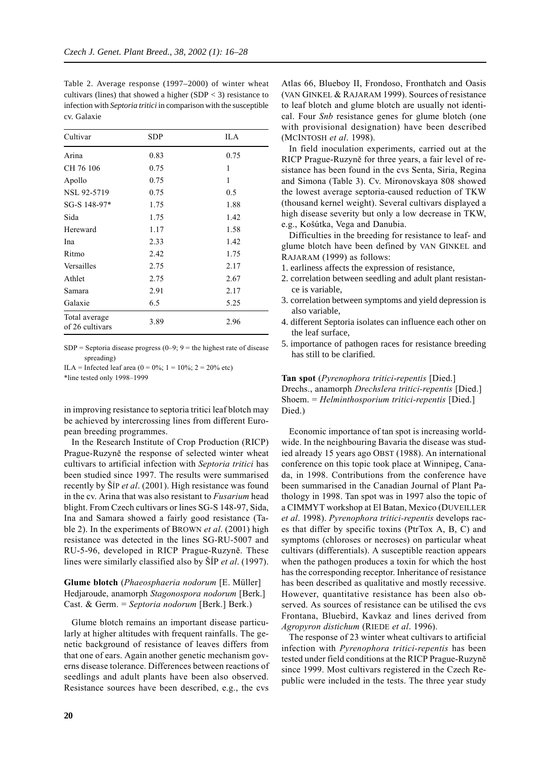Table 2. Average response (1997–2000) of winter wheat cultivars (lines) that showed a higher  $(SDP < 3)$  resistance to infection with *Septoria tritici* in comparison with the susceptible cv. Galaxie

| Cultivar                         | SDP  | ILA  |
|----------------------------------|------|------|
| Arina                            | 0.83 | 0.75 |
| CH 76 106                        | 0.75 | 1    |
| Apollo                           | 0.75 | 1    |
| NSL 92-5719                      | 0.75 | 0.5  |
| SG-S 148-97*                     | 1.75 | 1.88 |
| Sida                             | 1.75 | 1.42 |
| Hereward                         | 1.17 | 1.58 |
| Ina                              | 2.33 | 1.42 |
| Ritmo                            | 2.42 | 1.75 |
| Versailles                       | 2.75 | 2.17 |
| Athlet                           | 2.75 | 2.67 |
| Samara                           | 2.91 | 2.17 |
| Galaxie                          | 6.5  | 5.25 |
| Total average<br>of 26 cultivars | 3.89 | 2.96 |

SDP = Septoria disease progress  $(0-9; 9)$  = the highest rate of disease spreading)

ILA = Infected leaf area  $(0 = 0\%; 1 = 10\%; 2 = 20\%$  etc) \*line tested only 1998–1999

in improving resistance to septoria tritici leaf blotch may be achieved by intercrossing lines from different European breeding programmes.

In the Research Institute of Crop Production (RICP) Prague-Ruzyně the response of selected winter wheat cultivars to artificial infection with *Septoria tritici* has been studied since 1997. The results were summarised recently by ŠÍP *et al*. (2001). High resistance was found in the cv. Arina that was also resistant to *Fusarium* head blight. From Czech cultivars or lines SG-S 148-97, Sida, Ina and Samara showed a fairly good resistance (Table 2). In the experiments of BROWN *et al*. (2001) high resistance was detected in the lines SG-RU-5007 and RU-5-96, developed in RICP Prague-Ruzyně. These lines were similarly classified also by ŠÍP *et al*. (1997).

# **Glume blotch** (*Phaeosphaeria nodorum* [E. Müller] Hedjaroude, anamorph *Stagonospora nodorum* [Berk.] Cast. & Germ. = *Septoria nodorum* [Berk.] Berk.)

Glume blotch remains an important disease particularly at higher altitudes with frequent rainfalls. The genetic background of resistance of leaves differs from that one of ears. Again another genetic mechanism governs disease tolerance. Differences between reactions of seedlings and adult plants have been also observed. Resistance sources have been described, e.g., the cvs

Atlas 66, Blueboy II, Frondoso, Fronthatch and Oasis (VAN GINKEL & RAJARAM 1999). Sources of resistance to leaf blotch and glume blotch are usually not identical. Four *Snb* resistance genes for glume blotch (one with provisional designation) have been described (MCINTOSH *et al*. 1998).

In field inoculation experiments, carried out at the RICP Prague-Ruzyně for three years, a fair level of resistance has been found in the cvs Senta, Siria, Regina and Simona (Table 3). Cv. Mironovskaya 808 showed the lowest average septoria-caused reduction of TKW (thousand kernel weight). Several cultivars displayed a high disease severity but only a low decrease in TKW, e.g., Košútka, Vega and Danubia.

Difficulties in the breeding for resistance to leaf- and glume blotch have been defined by VAN GINKEL and RAJARAM (1999) as follows:

- 1. earliness affects the expression of resistance,
- 2. correlation between seedling and adult plant resistance is variable,
- 3. correlation between symptoms and yield depression is also variable,
- 4. different Septoria isolates can influence each other on the leaf surface,
- 5. importance of pathogen races for resistance breeding has still to be clarified.

**Tan spot** (*Pyrenophora tritici*-*repentis* [Died.] Drechs., anamorph *Drechslera tritici-repentis* [Died.] Shoem. = *Helminthosporium tritici-repentis* [Died.] Died.)

Economic importance of tan spot is increasing worldwide. In the neighbouring Bavaria the disease was studied already 15 years ago OBST (1988). An international conference on this topic took place at Winnipeg, Canada, in 1998. Contributions from the conference have been summarised in the Canadian Journal of Plant Pathology in 1998. Tan spot was in 1997 also the topic of a CIMMYT workshop at El Batan, Mexico (DUVEILLER *et al*. 1998). *Pyrenophora tritici-repentis* develops races that differ by specific toxins (PtrTox A, B, C) and symptoms (chloroses or necroses) on particular wheat cultivars (differentials). A susceptible reaction appears when the pathogen produces a toxin for which the host has the corresponding receptor. Inheritance of resistance has been described as qualitative and mostly recessive. However, quantitative resistance has been also observed. As sources of resistance can be utilised the cvs Frontana, Bluebird, Kavkaz and lines derived from *Agropyron distichum* (RIEDE *et al*. 1996).

The response of 23 winter wheat cultivars to artificial infection with *Pyrenophora tritici-repentis* has been tested under field conditions at the RICP Prague-Ruzyně since 1999. Most cultivars registered in the Czech Republic were included in the tests. The three year study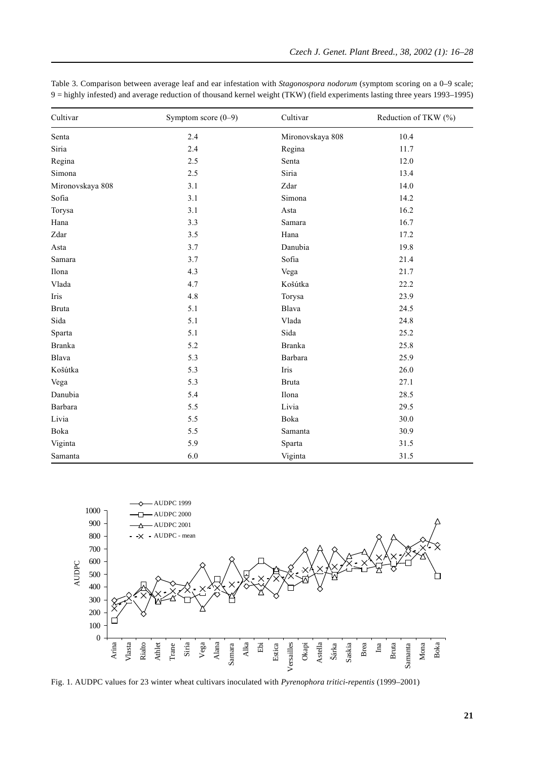| Cultivar         | Symptom score $(0-9)$ | Cultivar         | Reduction of TKW (%) |
|------------------|-----------------------|------------------|----------------------|
| Senta            | 2.4                   | Mironovskaya 808 | 10.4                 |
| Siria            | 2.4                   | Regina           | 11.7                 |
| Regina           | 2.5                   | Senta            | 12.0                 |
| Simona           | 2.5                   | Siria            | 13.4                 |
| Mironovskaya 808 | 3.1                   | Zdar             | 14.0                 |
| Sofia            | 3.1                   | Simona           | 14.2                 |
| Torysa           | 3.1                   | Asta             | 16.2                 |
| Hana             | 3.3                   | Samara           | 16.7                 |
| Zdar             | 3.5                   | Hana             | 17.2                 |
| Asta             | 3.7                   | Danubia          | 19.8                 |
| Samara           | 3.7                   | Sofia            | 21.4                 |
| Ilona            | 4.3                   | Vega             | 21.7                 |
| Vlada            | 4.7                   | Košútka          | 22.2                 |
| Iris             | 4.8                   | Torysa           | 23.9                 |
| <b>Bruta</b>     | 5.1                   | Blava            | 24.5                 |
| Sida             | 5.1                   | Vlada            | 24.8                 |
| Sparta           | 5.1                   | Sida             | 25.2                 |
| <b>Branka</b>    | 5.2                   | <b>Branka</b>    | 25.8                 |
| Blava            | 5.3                   | Barbara          | 25.9                 |
| Košútka          | 5.3                   | Iris             | 26.0                 |
| Vega             | 5.3                   | <b>Bruta</b>     | 27.1                 |
| Danubia          | 5.4                   | Ilona            | 28.5                 |
| Barbara          | 5.5                   | Livia            | 29.5                 |
| Livia            | 5.5                   | Boka             | 30.0                 |
| Boka             | 5.5                   | Samanta          | 30.9                 |
| Viginta          | 5.9                   | Sparta           | 31.5                 |
| Samanta          | 6.0                   | Viginta          | 31.5                 |

Table 3. Comparison between average leaf and ear infestation with *Stagonospora nodorum* (symptom scoring on a 0–9 scale; 9 = highly infested) and average reduction of thousand kernel weight (TKW) (field experiments lasting three years 1993–1995)



Fig. 1. AUDPC values for 23 winter wheat cultivars inoculated with *Pyrenophora tritici*-*repentis* (1999–2001)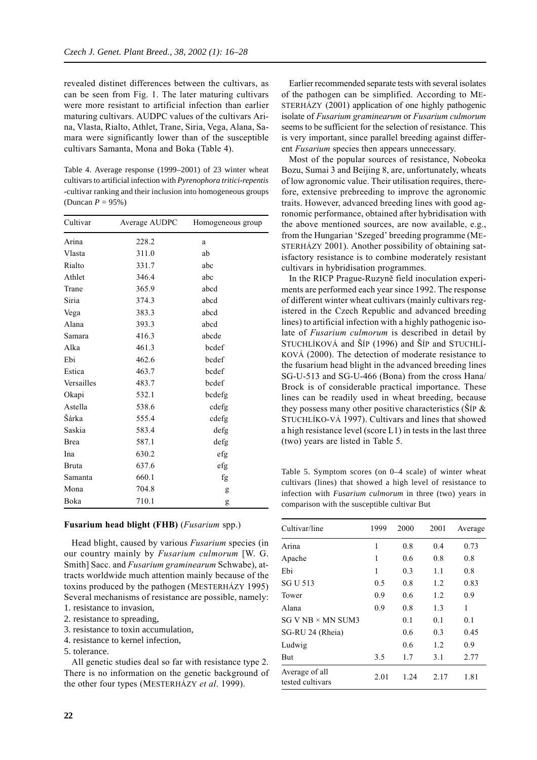revealed distinet differences between the cultivars, as can be seen from Fig. 1. The later maturing cultivars were more resistant to artificial infection than earlier maturing cultivars. AUDPC values of the cultivars Arina, Vlasta, Rialto, Athlet, Trane, Siria, Vega, Alana, Samara were significantly lower than of the susceptible cultivars Samanta, Mona and Boka (Table 4).

Table 4. Average response (1999–2001) of 23 winter wheat cultivars to artificial infection with *Pyrenophora tritici-repentis* -cultivar ranking and their inclusion into homogeneous groups (Duncan *P* = 95%)

| Cultivar    | Average AUDPC | Homogeneous group |
|-------------|---------------|-------------------|
| Arina       | 228.2         | a                 |
| Vlasta      | 311.0         | ab                |
| Rialto      | 331.7         | abc               |
| Athlet      | 346.4         | abc               |
| Trane       | 365.9         | abcd              |
| Siria       | 374.3         | abcd              |
| Vega        | 383.3         | abcd              |
| Alana       | 393.3         | abcd              |
| Samara      | 416.3         | abcde             |
| Alka        | 461.3         | bcdef             |
| Ebi         | 462.6         | bcdef             |
| Estica      | 463.7         | bcdef             |
| Versailles  | 483.7         | bcdef             |
| Okapi       | 532.1         | bcdefg            |
| Astella     | 538.6         | cdefg             |
| Šárka       | 555.4         | cdefg             |
| Saskia      | 583.4         | defg              |
| <b>Brea</b> | 587.1         | defg              |
| Ina         | 630.2         | efg               |
| Bruta       | 637.6         | efg               |
| Samanta     | 660.1         | fg                |
| Mona        | 704.8         | g                 |
| Boka        | 710.1         | g                 |

#### **Fusarium head blight (FHB)** (*Fusarium* spp.)

Head blight, caused by various *Fusarium* species (in our country mainly by *Fusarium culmorum* [W. G. Smith] Sacc. and *Fusarium graminearum* Schwabe), attracts worldwide much attention mainly because of the toxins produced by the pathogen (MESTERHÁZY 1995) Several mechanisms of resistance are possible, namely:

- 1. resistance to invasion, 2. resistance to spreading,
- 3. resistance to toxin accumulation,
- 4. resistance to kernel infection,
- 5. tolerance.

All genetic studies deal so far with resistance type 2. There is no information on the genetic background of the other four types (MESTERHÁZY *et al*. 1999).

Earlier recommended separate tests with several isolates of the pathogen can be simplified. According to ME-STERHÁZY (2001) application of one highly pathogenic isolate of *Fusarium graminearum* or *Fusarium culmorum* seems to be sufficient for the selection of resistance. This is very important, since parallel breeding against different *Fusarium* species then appears unnecessary.

Most of the popular sources of resistance, Nobeoka Bozu, Sumai 3 and Beijing 8, are, unfortunately, wheats of low agronomic value. Their utilisation requires, therefore, extensive prebreeding to improve the agronomic traits. However, advanced breeding lines with good agronomic performance, obtained after hybridisation with the above mentioned sources, are now available, e.g., from the Hungarian 'Szeged' breeding programme (ME-STERHÁZY 2001). Another possibility of obtaining satisfactory resistance is to combine moderately resistant cultivars in hybridisation programmes.

In the RICP Prague-Ruzyně field inoculation experiments are performed each year since 1992. The response of different winter wheat cultivars (mainly cultivars registered in the Czech Republic and advanced breeding lines) to artificial infection with a highly pathogenic isolate of *Fusarium culmorum* is described in detail by STUCHLÍKOVÁ and ŠÍP (1996) and ŠÍP and STUCHLÍ-KOVÁ (2000). The detection of moderate resistance to the fusarium head blight in the advanced breeding lines SG-U-513 and SG-U-466 (Bona) from the cross Hana/ Brock is of considerable practical importance. These lines can be readily used in wheat breeding, because they possess many other positive characteristics ( $\text{ŠIP } \&$ STUCHLÍKO-VÁ 1997). Cultivars and lines that showed a high resistance level (score L1) in tests in the last three (two) years are listed in Table 5.

Table 5. Symptom scores (on 0–4 scale) of winter wheat cultivars (lines) that showed a high level of resistance to infection with *Fusarium culmorum* in three (two) years in comparison with the susceptible cultivar But

| Cultivar/line                      | 1999 | 2000 | 2001 | Average |
|------------------------------------|------|------|------|---------|
| Arina                              | 1    | 0.8  | 0.4  | 0.73    |
| Apache                             | 1    | 0.6  | 0.8  | 0.8     |
| Ebi                                | 1    | 0.3  | 1.1  | 0.8     |
| SG U 513                           | 0.5  | 0.8  | 1.2  | 0.83    |
| Tower                              | 0.9  | 0.6  | 1.2  | 0.9     |
| Alana                              | 0.9  | 0.8  | 1.3  | 1       |
| SG V NB × MN SUM3                  |      | 0.1  | 0.1  | 0.1     |
| SG-RU 24 (Rheia)                   |      | 0.6  | 0.3  | 0.45    |
| Ludwig                             |      | 0.6  | 1.2  | 0.9     |
| But                                | 3.5  | 1.7  | 3.1  | 2.77    |
| Average of all<br>tested cultivars | 2.01 | 1.24 | 2.17 | 1.81    |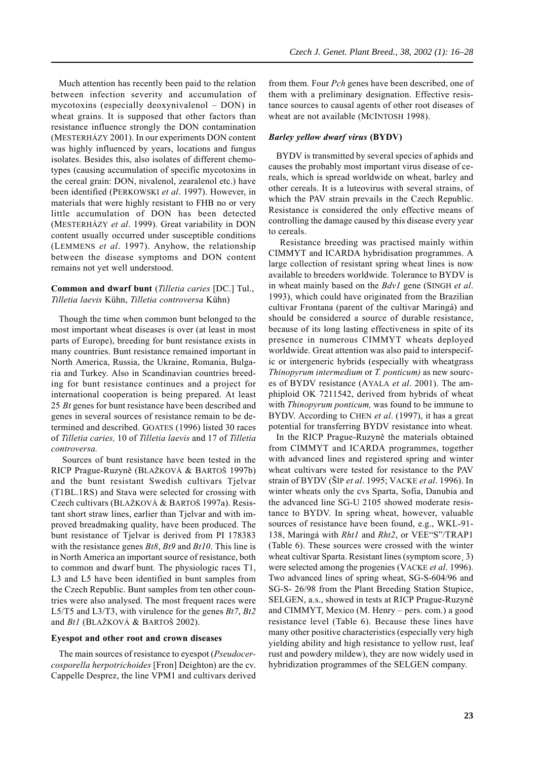Much attention has recently been paid to the relation between infection severity and accumulation of mycotoxins (especially deoxynivalenol – DON) in wheat grains. It is supposed that other factors than resistance influence strongly the DON contamination (MESTERHÁZY 2001). In our experiments DON content was highly influenced by years, locations and fungus isolates. Besides this, also isolates of different chemotypes (causing accumulation of specific mycotoxins in the cereal grain: DON, nivalenol, zearalenol etc.) have been identified (PERKOWSKI *et al*. 1997). However, in materials that were highly resistant to FHB no or very little accumulation of DON has been detected (MESTERHÁZY *et al*. 1999). Great variability in DON content usually occurred under susceptible conditions (LEMMENS *et al*. 1997). Anyhow, the relationship between the disease symptoms and DON content remains not yet well understood.

### **Common and dwarf bunt** (*Tilletia caries* [DC.] Tul., *Tilletia laevis* Kühn, *Tilletia controversa* Kühn)

Though the time when common bunt belonged to the most important wheat diseases is over (at least in most parts of Europe), breeding for bunt resistance exists in many countries. Bunt resistance remained important in North America, Russia, the Ukraine, Romania, Bulgaria and Turkey. Also in Scandinavian countries breeding for bunt resistance continues and a project for international cooperation is being prepared. At least 25 *Bt* genes for bunt resistance have been described and genes in several sources of resistance remain to be determined and described. GOATES (1996) listed 30 races of *Tilletia caries,* 10 of *Tilletia laevis* and 17 of *Tilletia controversa.*

Sources of bunt resistance have been tested in the RICP Prague-Ruzyně (BLAŽKOVÁ & BARTOŠ 1997b) and the bunt resistant Swedish cultivars Tjelvar (T1BL.1RS) and Stava were selected for crossing with Czech cultivars (BLAŽKOVÁ & BARTOŠ 1997a). Resistant short straw lines, earlier than Tjelvar and with improved breadmaking quality, have been produced. The bunt resistance of Tjelvar is derived from PI 178383 with the resistance genes *Bt8*, *Bt9* and *Bt10*. This line is in North America an important source of resistance, both to common and dwarf bunt. The physiologic races T1, L3 and L5 have been identified in bunt samples from the Czech Republic. Bunt samples from ten other countries were also analysed. The most frequent races were L5/T5 and L3/T3, with virulence for the genes *Bt7*, *Bt2* and *Bt1* (BLAŽKOVÁ & BARTOŠ 2002).

### **Eyespot and other root and crown diseases**

The main sources of resistance to eyespot (*Pseudocercosporella herpotrichoides* [Fron] Deighton) are the cv. Cappelle Desprez, the line VPM1 and cultivars derived from them. Four *Pch* genes have been described, one of them with a preliminary designation. Effective resistance sources to causal agents of other root diseases of wheat are not available (MCINTOSH 1998).

# *Barley yellow dwarf virus* **(BYDV)**

BYDV is transmitted by several species of aphids and causes the probably most important virus disease of cereals, which is spread worldwide on wheat, barley and other cereals. It is a luteovirus with several strains, of which the PAV strain prevails in the Czech Republic. Resistance is considered the only effective means of controlling the damage caused by this disease every year to cereals.

 Resistance breeding was practised mainly within CIMMYT and ICARDA hybridisation programmes. A large collection of resistant spring wheat lines is now available to breeders worldwide. Tolerance to BYDV is in wheat mainly based on the *Bdv1* gene (SINGH *et al*. 1993), which could have originated from the Brazilian cultivar Frontana (parent of the cultivar Maringá) and should be considered a source of durable resistance, because of its long lasting effectiveness in spite of its presence in numerous CIMMYT wheats deployed worldwide. Great attention was also paid to interspecific or intergeneric hybrids (especially with wheatgrass *Thinopyrum intermedium* or *T. ponticum)* as new sources of BYDV resistance (AYALA *et al*. 2001). The amphiploid OK 7211542, derived from hybrids of wheat with *Thinopyrum ponticum,* was found to be immune to BYDV. According to CHEN *et al*. (1997), it has a great potential for transferring BYDV resistance into wheat.

In the RICP Prague-Ruzyně the materials obtained from CIMMYT and ICARDA programmes, together with advanced lines and registered spring and winter wheat cultivars were tested for resistance to the PAV strain of BYDV (ŠÍP *et al*. 1995; VACKE *et al*. 1996). In winter wheats only the cvs Sparta, Sofia, Danubia and the advanced line SG-U 2105 showed moderate resistance to BYDV. In spring wheat, however, valuable sources of resistance have been found, e.g., WKL-91- 138, Maringá with *Rht1* and *Rht2*, or VEE"S"/TRAP1 (Table 6). These sources were crossed with the winter wheat cultivar Sparta. Resistant lines (symptom score 3) were selected among the progenies (VACKE *et al*. 1996). Two advanced lines of spring wheat, SG-S-604/96 and SG-S- 26/98 from the Plant Breeding Station Stupice, SELGEN, a.s., showed in tests at RICP Prague-Ruzyně and CIMMYT, Mexico (M. Henry – pers. com.) a good resistance level (Table 6). Because these lines have many other positive characteristics (especially very high yielding ability and high resistance to yellow rust, leaf rust and powdery mildew), they are now widely used in hybridization programmes of the SELGEN company.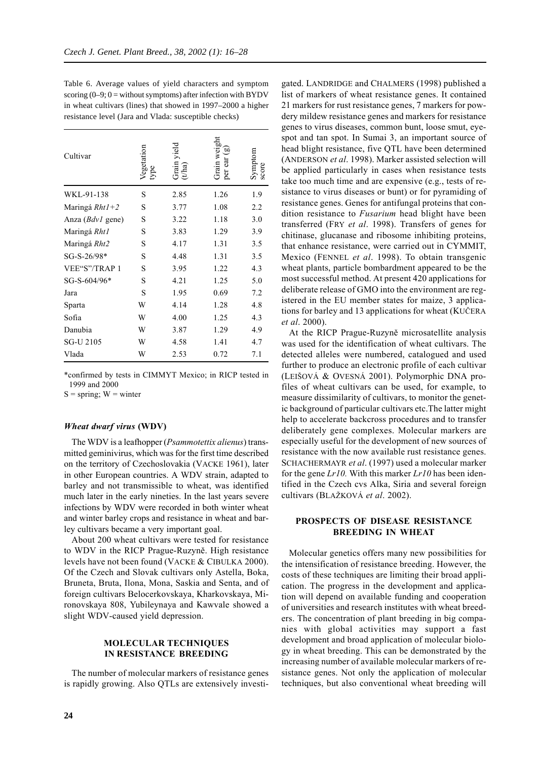Table 6. Average values of yield characters and symptom scoring  $(0-9; 0 =$  without symptoms) after infection with BYDV in wheat cultivars (lines) that showed in 1997–2000 a higher resistance level (Jara and Vlada: susceptible checks)

| Cultivar                                                                                                | Vegetation<br>type | Grain yield<br>(t/ha) | Grain weight<br>per ear $(g)$ | ymptom<br>score |
|---------------------------------------------------------------------------------------------------------|--------------------|-----------------------|-------------------------------|-----------------|
| WKL-91-138                                                                                              | S                  | 2.85                  | 1.26                          | 1.9             |
| Maringá $Rht1+2$                                                                                        | S                  | 3.77                  | 1.08                          | 2.2             |
| Anza ( <i>Bdv1</i> gene)                                                                                | S                  | 3.22                  | 1.18                          | 3.0             |
| Maringá Rht1                                                                                            | S                  | 3.83                  | 1.29                          | 3.9             |
| Maringá Rht2                                                                                            | S                  | 4.17                  | 1.31                          | 3.5             |
| SG-S-26/98*                                                                                             | S                  | 4.48                  | 1.31                          | 3.5             |
| VEE"S"/TRAP 1                                                                                           | S                  | 3.95                  | 1.22                          | 4.3             |
| SG-S-604/96*                                                                                            | S                  | 4.21                  | 1.25                          | 5.0             |
| Jara                                                                                                    | S                  | 1.95                  | 0.69                          | 7.2             |
| Sparta                                                                                                  | W                  | 4.14                  | 1.28                          | 4.8             |
| Sofia                                                                                                   | W                  | 4.00                  | 1.25                          | 4.3             |
| Danubia                                                                                                 | W                  | 3.87                  | 1.29                          | 4.9             |
| SG-U 2105                                                                                               | W                  | 4.58                  | 1.41                          | 4.7             |
| Vlada                                                                                                   | W                  | 2.53                  | 0.72                          | 7.1             |
| *confirmed by tests in CIMMYT Mexico; in RICP tested in<br>1999 and 2000<br>$S = spring$ ; $W = winter$ |                    |                       |                               |                 |

#### *Wheat dwarf virus* **(WDV)**

The WDV is a leafhopper (*Psammotettix alienus*) transmitted geminivirus, which was for the first time described on the territory of Czechoslovakia (VACKE 1961), later in other European countries. A WDV strain, adapted to barley and not transmissible to wheat, was identified much later in the early nineties. In the last years severe infections by WDV were recorded in both winter wheat and winter barley crops and resistance in wheat and barley cultivars became a very important goal.

About 200 wheat cultivars were tested for resistance to WDV in the RICP Prague-Ruzyně. High resistance levels have not been found (VACKE & CIBULKA 2000). Of the Czech and Slovak cultivars only Astella, Boka, Bruneta, Bruta, Ilona, Mona, Saskia and Senta, and of foreign cultivars Belocerkovskaya, Kharkovskaya, Mironovskaya 808, Yubileynaya and Kawvale showed a slight WDV-caused yield depression.

### **MOLECULAR TECHNIQUES IN RESISTANCE BREEDING**

The number of molecular markers of resistance genes is rapidly growing. Also QTLs are extensively investigated. LANDRIDGE and CHALMERS (1998) published a list of markers of wheat resistance genes. It contained 21 markers for rust resistance genes, 7 markers for powdery mildew resistance genes and markers for resistance genes to virus diseases, common bunt, loose smut, eyespot and tan spot. In Sumai 3, an important source of head blight resistance, five QTL have been determined (ANDERSON *et al*. 1998). Marker assisted selection will be applied particularly in cases when resistance tests take too much time and are expensive (e.g., tests of resistance to virus diseases or bunt) or for pyramiding of resistance genes. Genes for antifungal proteins that condition resistance to *Fusarium* head blight have been transferred (FRY *et al*. 1998). Transfers of genes for chitinase, glucanase and ribosome inhibiting proteins, that enhance resistance, were carried out in CYMMIT, Mexico (FENNEL *et al*. 1998). To obtain transgenic wheat plants, particle bombardment appeared to be the most successful method. At present 420 applications for deliberate release of GMO into the environment are registered in the EU member states for maize, 3 applications for barley and 13 applications for wheat (KUČERA *et al*. 2000).

At the RICP Prague-Ruzyně microsatellite analysis was used for the identification of wheat cultivars. The detected alleles were numbered, catalogued and used further to produce an electronic profile of each cultivar (LEIŠOVÁ & OVESNÁ 2001). Polymorphic DNA profiles of wheat cultivars can be used, for example, to measure dissimilarity of cultivars, to monitor the genetic background of particular cultivars etc.The latter might help to accelerate backcross procedures and to transfer deliberately gene complexes. Molecular markers are especially useful for the development of new sources of resistance with the now available rust resistance genes. SCHACHERMAYR *et al*. (1997) used a molecular marker for the gene *Lr10.* With this marker *Lr10* has been identified in the Czech cvs Alka, Siria and several foreign cultivars (BLAŽKOVÁ *et al*. 2002).

### **PROSPECTS OF DISEASE RESISTANCE BREEDING IN WHEAT**

Molecular genetics offers many new possibilities for the intensification of resistance breeding. However, the costs of these techniques are limiting their broad application. The progress in the development and application will depend on available funding and cooperation of universities and research institutes with wheat breeders. The concentration of plant breeding in big companies with global activities may support a fast development and broad application of molecular biology in wheat breeding. This can be demonstrated by the increasing number of available molecular markers of resistance genes. Not only the application of molecular techniques, but also conventional wheat breeding will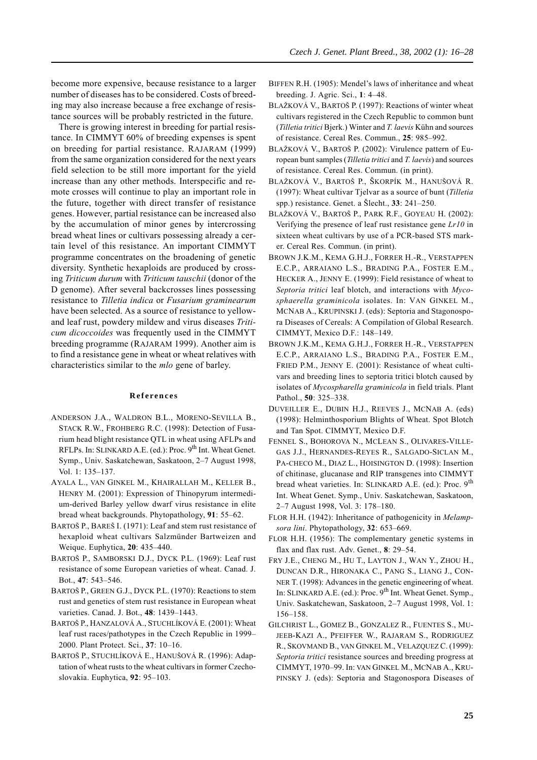become more expensive, because resistance to a larger number of diseases has to be considered. Costs of breeding may also increase because a free exchange of resistance sources will be probably restricted in the future.

There is growing interest in breeding for partial resistance. In CIMMYT 60% of breeding expenses is spent on breeding for partial resistance. RAJARAM (1999) from the same organization considered for the next years field selection to be still more important for the yield increase than any other methods. Interspecific and remote crosses will continue to play an important role in the future, together with direct transfer of resistance genes. However, partial resistance can be increased also by the accumulation of minor genes by intercrossing bread wheat lines or cultivars possessing already a certain level of this resistance. An important CIMMYT programme concentrates on the broadening of genetic diversity. Synthetic hexaploids are produced by crossing *Triticum durum* with *Triticum tauschii* (donor of the D genome). After several backcrosses lines possessing resistance to *Tilletia indica* or *Fusarium graminearum* have been selected. As a source of resistance to yellowand leaf rust, powdery mildew and virus diseases *Triticum dicoccoides* was frequently used in the CIMMYT breeding programme (RAJARAM 1999). Another aim is to find a resistance gene in wheat or wheat relatives with characteristics similar to the *mlo* gene of barley.

#### **References**

- ANDERSON J.A., WALDRON B.L., MORENO-SEVILLA B., STACK R.W., FROHBERG R.C. (1998): Detection of Fusarium head blight resistance QTL in wheat using AFLPs and RFLPs. In: SLINKARD A.E. (ed.): Proc. 9<sup>th</sup> Int. Wheat Genet. Symp., Univ. Saskatchewan, Saskatoon, 2–7 August 1998, Vol. 1: 135*–*137.
- AYALA L., VAN GINKEL M., KHAIRALLAH M., KELLER B., HENRY M. (2001): Expression of Thinopyrum intermedium-derived Barley yellow dwarf virus resistance in elite bread wheat backgrounds. Phytopathology, **91**: 55*–*62.
- BARTOŠ P., BAREŠ I. (1971): Leaf and stem rust resistance of hexaploid wheat cultivars Salzmünder Bartweizen and Weique. Euphytica, **20**: 435*–*440.
- BARTOŠ P., SAMBORSKI D.J., DYCK P.L. (1969): Leaf rust resistance of some European varieties of wheat. Canad. J. Bot., **47**: 543*–*546.
- BARTOŠ P., GREEN G.J., DYCK P.L. (1970): Reactions to stem rust and genetics of stem rust resistance in European wheat varieties. Canad. J. Bot., **48**: 1439*–*1443.
- BARTOŠ P., HANZALOVÁ A., STUCHLÍKOVÁ E. (2001): Wheat leaf rust races/pathotypes in the Czech Republic in 1999– 2000. Plant Protect. Sci., **37**: 10*–*16.
- BARTOŠ P., STUCHLÍKOVÁ E., HANUŠOVÁ R. (1996): Adaptation of wheat rusts to the wheat cultivars in former Czechoslovakia. Euphytica, **92**: 95*–*103.
- BIFFEN R.H. (1905): Mendel's laws of inheritance and wheat breeding. J. Agric. Sci., **1**: 4*–*48.
- BLAŽKOVÁ V., BARTOŠ P. (1997): Reactions of winter wheat cultivars registered in the Czech Republic to common bunt (*Tilletia tritici* Bjerk.) Winter and *T. laevis* Kühn and sources of resistance. Cereal Res. Commun., **25**: 985*–*992.
- BLAŽKOVÁ V., BARTOŠ P. (2002): Virulence pattern of European bunt samples (*Tilletia tritici* and *T. laevis*) and sources of resistance. Cereal Res. Commun. (in print).
- BLAŽKOVÁ V., BARTOŠ P., ŠKORPÍK M., HANUŠOVÁ R. (1997): Wheat cultivar Tjelvar as a source of bunt (*Tilletia* spp.) resistance. Genet. a Šlecht., **33**: 241*–*250.
- BLAŽKOVÁ V., BARTOŠ P., PARK R.F., GOYEAU H. (2002): Verifying the presence of leaf rust resistance gene *Lr10* in sixteen wheat cultivars by use of a PCR-based STS marker. Cereal Res. Commun. (in print).
- BROWN J.K.M., KEMA G.H.J., FORRER H.-R., VERSTAPPEN E.C.P., ARRAIANO L.S., BRADING P.A., FOSTER E.M., HECKER A., JENNY E. (1999): Field resistance of wheat to *Septoria tritici* leaf blotch, and interactions with *Mycosphaerella graminicola* isolates. In: VAN GINKEL M., MCNAB A., KRUPINSKI J. (eds): Septoria and Stagonospora Diseases of Cereals: A Compilation of Global Research. CIMMYT, Mexico D.F.: 148*–*149.
- BROWN J.K.M., KEMA G.H.J., FORRER H.-R., VERSTAPPEN E.C.P., ARRAIANO L.S., BRADING P.A., FOSTER E.M., FRIED P.M., JENNY E. (2001): Resistance of wheat cultivars and breeding lines to septoria tritici blotch caused by isolates of *Mycospharella graminicola* in field trials. Plant Pathol., **50**: 325*–*338.
- DUVEILLER E., DUBIN H.J., REEVES J., MCNAB A. (eds) (1998): Helminthosporium Blights of Wheat. Spot Blotch and Tan Spot. CIMMYT, Mexico D.F.
- FENNEL S., BOHOROVA N., MCLEAN S., OLIVARES-VILLE-GAS J.J., HERNANDES-REYES R., SALGADO-SICLAN M., PA-CHECO M., DIAZ L., HOISINGTON D. (1998): Insertion of chitinase, glucanase and RIP transgenes into CIMMYT bread wheat varieties. In: SLINKARD A.E. (ed.): Proc. 9<sup>th</sup> Int. Wheat Genet. Symp., Univ. Saskatchewan, Saskatoon, 2–7 August 1998, Vol. 3: 178*–*180.
- FLOR H.H. (1942): Inheritance of pathogenicity in *Melampsora lini*. Phytopathology, **32**: 653*–*669.
- FLOR H.H. (1956): The complementary genetic systems in flax and flax rust. Adv. Genet., **8**: 29*–*54.
- FRY J.E., CHENG M., HU T., LAYTON J., WAN Y., ZHOU H., DUNCAN D.R., HIRONAKA C., PANG S., LIANG J., CON-NER T. (1998): Advances in the genetic engineering of wheat. In: SLINKARD A.E. (ed.): Proc. 9<sup>th</sup> Int. Wheat Genet. Symp., Univ. Saskatchewan, Saskatoon, 2–7 August 1998, Vol. 1: 156*–*158.
- GILCHRIST L., GOMEZ B., GONZALEZ R., FUENTES S., MU-JEEB-KAZI A., PFEIFFER W., RAJARAM S., RODRIGUEZ R., SKOVMAND B., VAN GINKEL M., VELAZQUEZ C. (1999): *Septoria tritici* resistance sources and breeding progress at CIMMYT, 1970–99. In: VAN GINKEL M., MCNAB A., KRU-PINSKY J. (eds): Septoria and Stagonospora Diseases of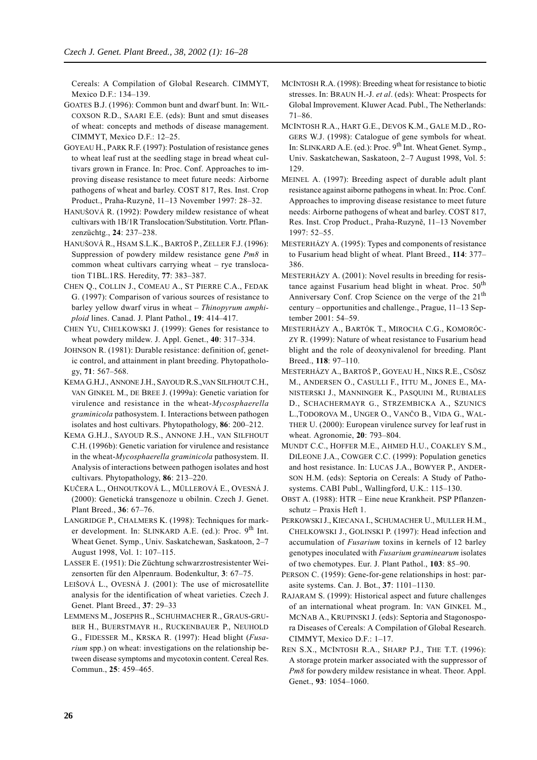Cereals: A Compilation of Global Research. CIMMYT, Mexico D.F.: 134–139.

- GOATES B.J. (1996): Common bunt and dwarf bunt. In: WIL-COXSON R.D., SAARI E.E. (eds): Bunt and smut diseases of wheat: concepts and methods of disease management. CIMMYT, Mexico D.F.: 12*–*25.
- GOYEAU H., PARK R.F. (1997): Postulation of resistance genes to wheat leaf rust at the seedling stage in bread wheat cultivars grown in France. In: Proc. Conf. Approaches to improving disease resistance to meet future needs: Airborne pathogens of wheat and barley. COST 817, Res. Inst. Crop Product., Praha-Ruzyně, 11–13 November 1997: 28*–*32.
- HANUŠOVÁ R. (1992): Powdery mildew resistance of wheat cultivars with 1B/1R Translocation/Substitution. Vortr. Pflanzenzüchtg., **24**: 237*–*238.
- HANUŠOVÁ R., HSAM S.L.K., BARTOŠ P., ZELLER F.J. (1996): Suppression of powdery mildew resistance gene *Pm8* in common wheat cultivars carrying wheat – rye translocation T1BL.1RS. Heredity, **77**: 383*–*387.
- CHEN Q., COLLIN J., COMEAU A., ST PIERRE C.A., FEDAK G. (1997): Comparison of various sources of resistance to barley yellow dwarf virus in wheat – *Thinopyrum amphiploid* lines. Canad. J. Plant Pathol., **19**: 414*–*417.
- CHEN YU, CHELKOWSKI J. (1999): Genes for resistance to wheat powdery mildew. J. Appl. Genet., **40**: 317*–*334.
- JOHNSON R. (1981): Durable resistance: definition of, genetic control, and attainment in plant breeding. Phytopathology, **71**: 567*–*568.
- KEMA G.H.J., ANNONE J.H., SAYOUD R.S.,VAN SILFHOUT C.H., VAN GINKEL M., DE BREE J. (1999a): Genetic variation for virulence and resistance in the wheat-*Mycosphaerella graminicola* pathosystem. I. Interactions between pathogen isolates and host cultivars. Phytopathology, **86**: 200*–*212.
- KEMA G.H.J., SAYOUD R.S., ANNONE J.H., VAN SILFHOUT C.H. (1996b): Genetic variation for virulence and resistance in the wheat-*Mycosphaerella graminicola* pathosystem. II. Analysis of interactions between pathogen isolates and host cultivars. Phytopathology, **86**: 213*–*220.
- KUČERA L., OHNOUTKOVÁ L., MÜLLEROVÁ E., OVESNÁ J. (2000): Genetická transgenoze u obilnin. Czech J. Genet. Plant Breed., **36**: 67*–*76.
- LANGRIDGE P., CHALMERS K. (1998): Techniques for marker development. In: SLINKARD A.E. (ed.): Proc.  $9<sup>th</sup>$  Int. Wheat Genet. Symp., Univ. Saskatchewan, Saskatoon, 2–7 August 1998, Vol. 1: 107*–*115.
- LASSER E. (1951): Die Züchtung schwarzrostresistenter Weizensorten fűr den Alpenraum. Bodenkultur, **3**: 67*–*75.
- LEIŠOVÁ L., OVESNÁ J. (2001): The use of microsatellite analysis for the identification of wheat varieties. Czech J. Genet. Plant Breed., **37**: 29*–*33
- LEMMENS M., JOSEPHS R., SCHUHMACHER R., GRAUS-GRU-BER H., BUERSTMAYR H., RUCKENBAUER P., NEUHOLD G., FIDESSER M., KRSKA R. (1997): Head blight (*Fusarium* spp.) on wheat: investigations on the relationship between disease symptoms and mycotoxin content. Cereal Res. Commun., **25**: 459*–*465.
- MCINTOSH R.A. (1998): Breeding wheat for resistance to biotic stresses. In: BRAUN H.-J. *et al*. (eds): Wheat: Prospects for Global Improvement. Kluwer Acad. Publ., The Netherlands: 71*–*86.
- MCINTOSH R.A., HART G.E., DEVOS K.M., GALE M.D., RO-GERS W.J. (1998): Catalogue of gene symbols for wheat. In: SLINKARD A.E. (ed.): Proc.  $9^{th}$  Int. Wheat Genet. Symp., Univ. Saskatchewan, Saskatoon, 2–7 August 1998, Vol. 5: 129.
- MEINEL A. (1997): Breeding aspect of durable adult plant resistance against aiborne pathogens in wheat. In: Proc. Conf. Approaches to improving disease resistance to meet future needs: Airborne pathogens of wheat and barley. COST 817, Res. Inst. Crop Product., Praha-Ruzyně, 11–13 November 1997: 52*–*55.
- MESTERHÁZY A. (1995): Types and components of resistance to Fusarium head blight of wheat. Plant Breed., **114**: 377*–* 386.
- MESTERHÁZY A. (2001): Novel results in breeding for resistance against Fusarium head blight in wheat. Proc.  $50<sup>th</sup>$ Anniversary Conf. Crop Science on the verge of the 21<sup>th</sup> century – opportunities and challenge., Prague, 11–13 September 2001: 54*–*59.
- MESTERHÁZY A., BARTÓK T., MIROCHA C.G., KOMORÓC-ZY R. (1999): Nature of wheat resistance to Fusarium head blight and the role of deoxynivalenol for breeding. Plant Breed., **118**: 97*–*110.
- MESTERHÁZY A., BARTOŠ P., GOYEAU H., NIKS R.E., CSÖSZ M., ANDERSEN O., CASULLI F., ITTU M., JONES E., MA-NISTERSKI J., MANNINGER K., PASQUINI M., RUBIALES D., SCHACHERMAYR G., STRZEMBICKA A., SZUNICS L.,TODOROVA M., UNGER O., VANČO B., VIDA G., WAL-THER U. (2000): European virulence survey for leaf rust in wheat. Agronomie, **20**: 793*–*804.
- MUNDT C.C., HOFFER M.E., AHMED H.U., COAKLEY S.M., DILEONE J.A., COWGER C.C. (1999): Population genetics and host resistance. In: LUCAS J.A., BOWYER P., ANDER-SON H.M. (eds): Septoria on Cereals: A Study of Pathosystems. CABI Publ., Wallingford, U.K.: 115*–*130.
- OBST A. (1988): HTR Eine neue Krankheit. PSP Pflanzenschutz – Praxis Heft 1.
- PERKOWSKI J., KIECANA I., SCHUMACHER U., MULLER H.M., CHELKOWSKI J., GOLINSKI P. (1997): Head infection and accumulation of *Fusarium* toxins in kernels of 12 barley genotypes inoculated with *Fusarium graminearum* isolates of two chemotypes. Eur. J. Plant Pathol., **103**: 85*–*90.
- PERSON C. (1959): Gene-for-gene relationships in host: parasite systems. Can. J. Bot., **37**: 1101*–*1130.
- RAJARAM S. (1999): Historical aspect and future challenges of an international wheat program. In: VAN GINKEL M., MCNAB A., KRUPINSKI J. (eds): Septoria and Stagonospora Diseases of Cereals: A Compilation of Global Research. CIMMYT, Mexico D.F.: 1*–*17.
- REN S.X., MCINTOSH R.A., SHARP P.J., THE T.T. (1996): A storage protein marker associated with the suppressor of *Pm8* for powdery mildew resistance in wheat. Theor. Appl. Genet., **93**: 1054*–*1060.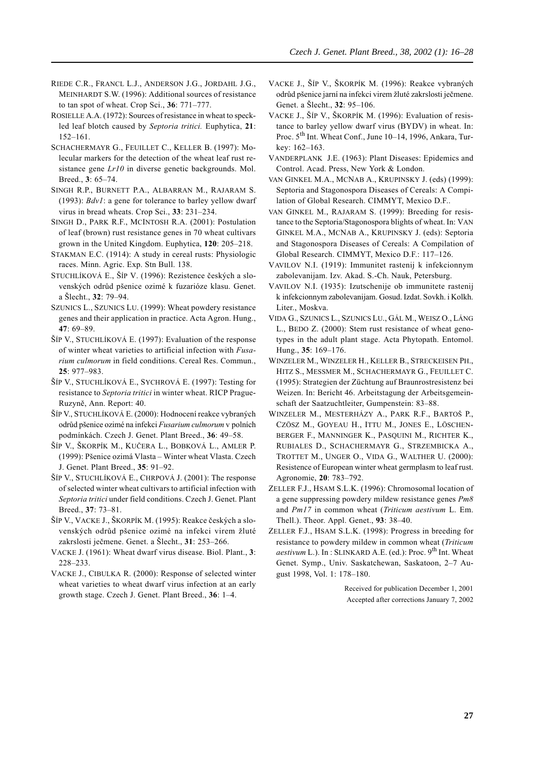- RIEDE C.R., FRANCL L.J., ANDERSON J.G., JORDAHL J.G., MEINHARDT S.W. (1996): Additional sources of resistance to tan spot of wheat. Crop Sci.,  $36: 771-777$ .
- ROSIELLE A.A. (1972): Sources of resistance in wheat to speckled leaf blotch caused by Septoria tritici. Euphytica, 21:  $152 - 161$ .
- SCHACHERMAYR G., FEUILLET C., KELLER B. (1997): Molecular markers for the detection of the wheat leaf rust resistance gene Lr10 in diverse genetic backgrounds. Mol. Breed., 3: 65-74.
- SINGH R.P., BURNETT P.A., ALBARRAN M., RAJARAM S. (1993):  $Bdv1$ : a gene for tolerance to barley yellow dwarf virus in bread wheats. Crop Sci., 33: 231-234.
- SINGH D., PARK R.F., MCINTOSH R.A. (2001): Postulation of leaf (brown) rust resistance genes in 70 wheat cultivars grown in the United Kingdom. Euphytica, 120: 205–218.
- STAKMAN E.C. (1914): A study in cereal rusts: Physiologic races. Minn. Agric. Exp. Stn Bull. 138.
- STUCHLÍKOVÁ E., ŠÍP V. (1996): Rezistence českých a slovenských odrůd pšenice ozimé k fuzarióze klasu. Genet. a Šlecht., 32: 79–94.
- SZUNICS L., SZUNICS LU. (1999): Wheat powdery resistance genes and their application in practice. Acta Agron. Hung., 47: 69-89.
- ŠÍP V., STUCHLÍKOVÁ E. (1997): Evaluation of the response of winter wheat varieties to artificial infection with Fusarium culmorum in field conditions. Cereal Res. Commun., 25: 977-983.
- ŠÍP V., STUCHLÍKOVÁ E., SYCHROVÁ E. (1997): Testing for resistance to Septoria tritici in winter wheat. RICP Prague-Ruzyně, Ann. Report: 40.
- ŠÍP V., STUCHLÍKOVÁ E. (2000): Hodnocení reakce vybraných odrůd pšenice ozimé na infekci Fusarium culmorum v polních podmínkách. Czech J. Genet. Plant Breed., 36: 49-58.
- ŠÍP V., ŠKORPÍK M., KUČERA L., BOBKOVÁ L., AMLER P. (1999): Pšenice ozimá Vlasta – Winter wheat Vlasta. Czech J. Genet. Plant Breed., 35: 91-92.
- ŠÍP V., STUCHLÍKOVÁ E., CHRPOVÁ J. (2001): The response of selected winter wheat cultivars to artificial infection with Septoria tritici under field conditions. Czech J. Genet. Plant Breed., 37: 73-81.
- ŠÍP V., VACKE J., ŠKORPÍK M. (1995): Reakce českých a slovenských odrůd pšenice ozimé na infekci virem žluté zakrslosti ječmene. Genet. a Šlecht., 31: 253–266.
- VACKE J. (1961): Wheat dwarf virus disease. Biol. Plant., 3:  $228 - 233$ .
- VACKE J., CIBULKA R. (2000): Response of selected winter wheat varieties to wheat dwarf virus infection at an early growth stage. Czech J. Genet. Plant Breed., 36: 1-4.
- VACKE J., ŠÍP V., ŠKORPÍK M. (1996): Reakce vybraných odrůd pšenice jarní na infekci virem žluté zakrslosti ječmene. Genet. a Šlecht., 32: 95-106.
- VACKE J., ŠÍP V., ŠKORPÍK M. (1996): Evaluation of resistance to barley yellow dwarf virus (BYDV) in wheat. In: Proc. 5<sup>th</sup> Int. Wheat Conf., June 10–14, 1996, Ankara, Turkev: 162-163.
- VANDERPLANK J.E. (1963): Plant Diseases: Epidemics and Control. Acad. Press, New York & London.
- VAN GINKEL M.A., MCNAB A., KRUPINSKY J. (eds) (1999): Septoria and Stagonospora Diseases of Cereals: A Compilation of Global Research. CIMMYT, Mexico D.F..
- VAN GINKEL M., RAJARAM S. (1999): Breeding for resistance to the Septoria/Stagonospora blights of wheat. In: VAN GINKEL M.A., MCNAB A., KRUPINSKY J. (eds): Septoria and Stagonospora Diseases of Cereals: A Compilation of Global Research. CIMMYT, Mexico D.F.: 117-126.
- VAVILOV N.I. (1919): Immunitet rastenij k infekcionnym zabolevanijam. Izv. Akad. S.-Ch. Nauk, Petersburg.
- VAVILOV N.I. (1935): Izutschenije ob immunitete rastenij k infekcionnym zabolevanijam. Gosud. Izdat. Sovkh. i Kolkh. Liter., Moskva.
- VIDA G., SZUNICS L., SZUNICS LU., GÁL M., WEISZ O., LÁNG L., BEDO Z. (2000): Stem rust resistance of wheat genotypes in the adult plant stage. Acta Phytopath. Entomol. Hung., 35: 169-176.
- WINZELER M., WINZELER H., KELLER B., STRECKEISEN PH., HITZ S., MESSMER M., SCHACHERMAYR G., FEUILLET C. (1995): Strategien der Züchtung auf Braunrostresistenz bei Weizen. In: Bericht 46. Arbeitstagung der Arbeitsgemeinschaft der Saatzuchtleiter, Gumpenstein: 83-88.
- WINZELER M., MESTERHÁZY A., PARK R.F., BARTOŠ P., CZÖSZ M., GOYEAU H., ITTU M., JONES E., LÖSCHEN-BERGER F., MANNINGER K., PASQUINI M., RICHTER K., RUBIALES D., SCHACHERMAYR G., STRZEMBICKA A., TROTTET M., UNGER O., VIDA G., WALTHER U. (2000): Resistence of European winter wheat germplasm to leaf rust. Agronomie, 20: 783-792.
- ZELLER F.J., HSAM S.L.K. (1996): Chromosomal location of a gene suppressing powdery mildew resistance genes  $Pm\delta$ and Pm17 in common wheat (Triticum aestivum L. Em. Thell.). Theor. Appl. Genet., 93: 38–40.
- ZELLER F.J., HSAM S.L.K. (1998): Progress in breeding for resistance to powdery mildew in common wheat (Triticum aestivum L.). In: SLINKARD A.E. (ed.): Proc. 9<sup>th</sup> Int. Wheat Genet. Symp., Univ. Saskatchewan, Saskatoon, 2-7 August 1998, Vol. 1: 178-180.

Received for publication December 1, 2001 Accepted after corrections January 7, 2002